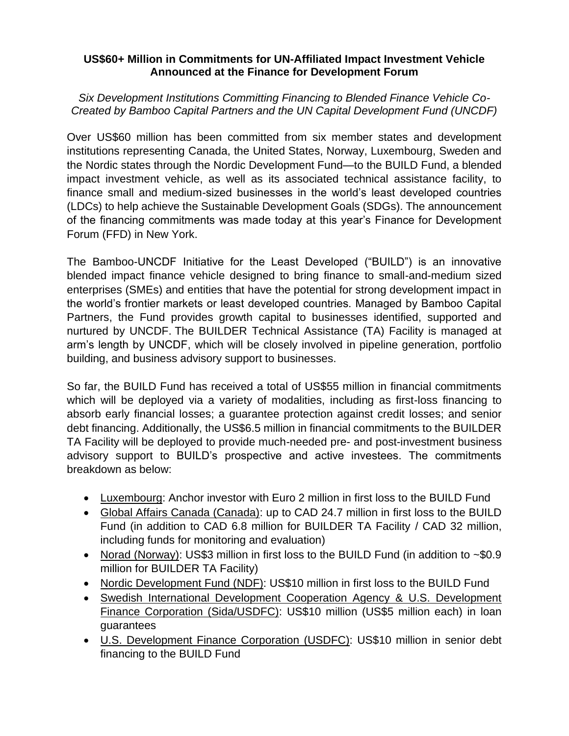## **US\$60+ Million in Commitments for UN-Affiliated Impact Investment Vehicle Announced at the Finance for Development Forum**

*Six Development Institutions Committing Financing to Blended Finance Vehicle Co-Created by Bamboo Capital Partners and the UN Capital Development Fund (UNCDF)*

Over US\$60 million has been committed from six member states and development institutions representing Canada, the United States, Norway, Luxembourg, Sweden and the Nordic states through the Nordic Development Fund—to the BUILD Fund, a blended impact investment vehicle, as well as its associated technical assistance facility, to finance small and medium-sized businesses in the world's least developed countries (LDCs) to help achieve the Sustainable Development Goals (SDGs). The announcement of the financing commitments was made today at this year's Finance for Development Forum (FFD) in New York.

The Bamboo-UNCDF Initiative for the Least Developed ("BUILD") is an innovative blended impact finance vehicle designed to bring finance to small-and-medium sized enterprises (SMEs) and entities that have the potential for strong development impact in the world's frontier markets or least developed countries. Managed by Bamboo Capital Partners, the Fund provides growth capital to businesses identified, supported and nurtured by UNCDF. The BUILDER Technical Assistance (TA) Facility is managed at arm's length by UNCDF, which will be closely involved in pipeline generation, portfolio building, and business advisory support to businesses.

So far, the BUILD Fund has received a total of US\$55 million in financial commitments which will be deployed via a variety of modalities, including as first-loss financing to absorb early financial losses; a guarantee protection against credit losses; and senior debt financing. Additionally, the US\$6.5 million in financial commitments to the BUILDER TA Facility will be deployed to provide much-needed pre- and post-investment business advisory support to BUILD's prospective and active investees. The commitments breakdown as below:

- Luxembourg: Anchor investor with Euro 2 million in first loss to the BUILD Fund
- Global Affairs Canada (Canada): up to CAD 24.7 million in first loss to the BUILD Fund (in addition to CAD 6.8 million for BUILDER TA Facility / CAD 32 million, including funds for monitoring and evaluation)
- Norad (Norway): US\$3 million in first loss to the BUILD Fund (in addition to ~\$0.9 million for BUILDER TA Facility)
- Nordic Development Fund (NDF): US\$10 million in first loss to the BUILD Fund
- Swedish International Development Cooperation Agency & U.S. Development Finance Corporation (Sida/USDFC): US\$10 million (US\$5 million each) in loan guarantees
- U.S. Development Finance Corporation (USDFC): US\$10 million in senior debt financing to the BUILD Fund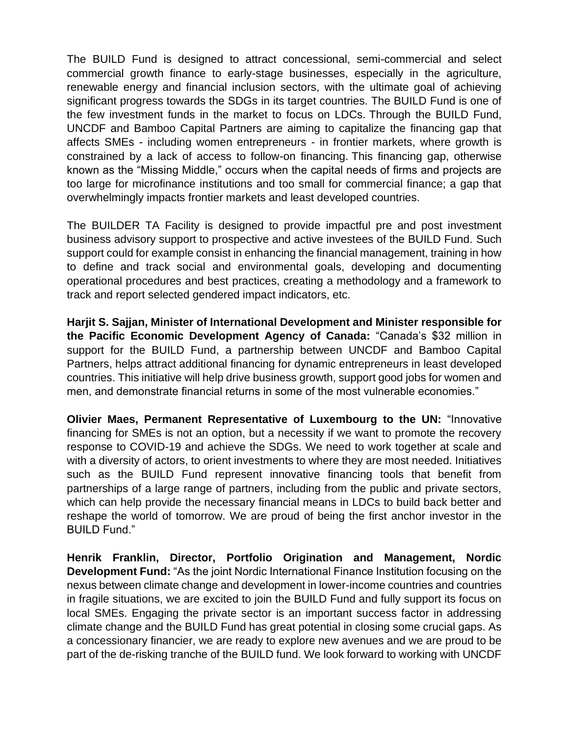The BUILD Fund is designed to attract concessional, semi-commercial and select commercial growth finance to early-stage businesses, especially in the agriculture, renewable energy and financial inclusion sectors, with the ultimate goal of achieving significant progress towards the SDGs in its target countries. The BUILD Fund is one of the few investment funds in the market to focus on LDCs. Through the BUILD Fund, UNCDF and Bamboo Capital Partners are aiming to capitalize the financing gap that affects SMEs - including women entrepreneurs - in frontier markets, where growth is constrained by a lack of access to follow-on financing. This financing gap, otherwise known as the "Missing Middle," occurs when the capital needs of firms and projects are too large for microfinance institutions and too small for commercial finance; a gap that overwhelmingly impacts frontier markets and least developed countries.

The BUILDER TA Facility is designed to provide impactful pre and post investment business advisory support to prospective and active investees of the BUILD Fund. Such support could for example consist in enhancing the financial management, training in how to define and track social and environmental goals, developing and documenting operational procedures and best practices, creating a methodology and a framework to track and report selected gendered impact indicators, etc.

**Harjit S. Sajjan, Minister of International Development and Minister responsible for the Pacific Economic Development Agency of Canada:** "Canada's \$32 million in support for the BUILD Fund, a partnership between UNCDF and Bamboo Capital Partners, helps attract additional financing for dynamic entrepreneurs in least developed countries. This initiative will help drive business growth, support good jobs for women and men, and demonstrate financial returns in some of the most vulnerable economies."

**Olivier Maes, Permanent Representative of Luxembourg to the UN:** "Innovative financing for SMEs is not an option, but a necessity if we want to promote the recovery response to COVID-19 and achieve the SDGs. We need to work together at scale and with a diversity of actors, to orient investments to where they are most needed. Initiatives such as the BUILD Fund represent innovative financing tools that benefit from partnerships of a large range of partners, including from the public and private sectors, which can help provide the necessary financial means in LDCs to build back better and reshape the world of tomorrow. We are proud of being the first anchor investor in the BUILD Fund."

**Henrik Franklin, Director, Portfolio Origination and Management, Nordic Development Fund:** "As the joint Nordic International Finance Institution focusing on the nexus between climate change and development in lower-income countries and countries in fragile situations, we are excited to join the BUILD Fund and fully support its focus on local SMEs. Engaging the private sector is an important success factor in addressing climate change and the BUILD Fund has great potential in closing some crucial gaps. As a concessionary financier, we are ready to explore new avenues and we are proud to be part of the de-risking tranche of the BUILD fund. We look forward to working with UNCDF